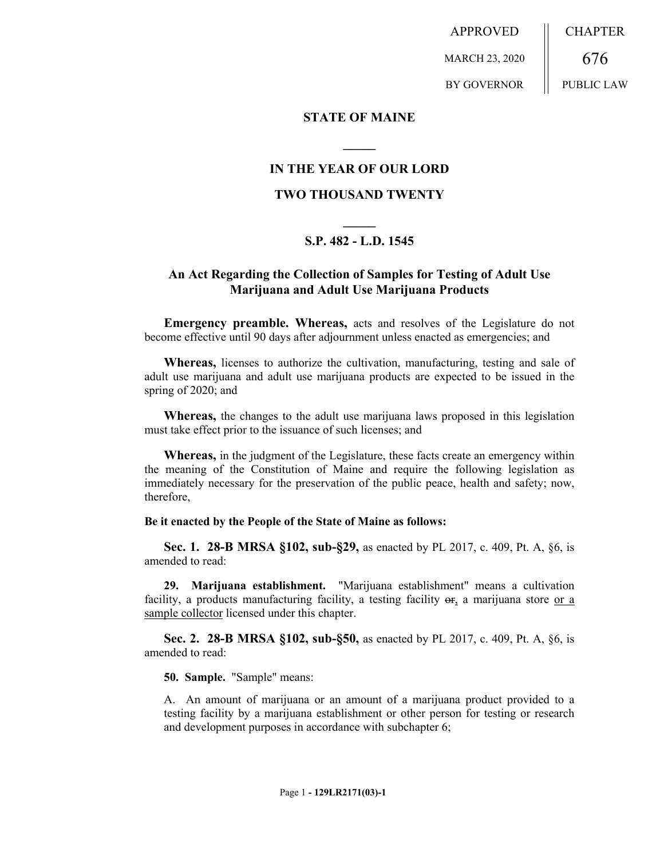APPROVED MARCH 23, 2020 BY GOVERNOR CHAPTER 676 PUBLIC LAW

## **STATE OF MAINE**

# **IN THE YEAR OF OUR LORD**

**\_\_\_\_\_**

## **TWO THOUSAND TWENTY**

# **\_\_\_\_\_ S.P. 482 - L.D. 1545**

# **An Act Regarding the Collection of Samples for Testing of Adult Use Marijuana and Adult Use Marijuana Products**

**Emergency preamble. Whereas,** acts and resolves of the Legislature do not become effective until 90 days after adjournment unless enacted as emergencies; and

**Whereas,** licenses to authorize the cultivation, manufacturing, testing and sale of adult use marijuana and adult use marijuana products are expected to be issued in the spring of 2020; and

**Whereas,** the changes to the adult use marijuana laws proposed in this legislation must take effect prior to the issuance of such licenses; and

**Whereas,** in the judgment of the Legislature, these facts create an emergency within the meaning of the Constitution of Maine and require the following legislation as immediately necessary for the preservation of the public peace, health and safety; now, therefore,

#### **Be it enacted by the People of the State of Maine as follows:**

**Sec. 1. 28-B MRSA §102, sub-§29,** as enacted by PL 2017, c. 409, Pt. A, §6, is amended to read:

**29. Marijuana establishment.** "Marijuana establishment" means a cultivation facility, a products manufacturing facility, a testing facility  $\sigma$ <sub>r</sub> a marijuana store or a sample collector licensed under this chapter.

**Sec. 2. 28-B MRSA §102, sub-§50,** as enacted by PL 2017, c. 409, Pt. A, §6, is amended to read:

**50. Sample.** "Sample" means:

A. An amount of marijuana or an amount of a marijuana product provided to a testing facility by a marijuana establishment or other person for testing or research and development purposes in accordance with subchapter 6;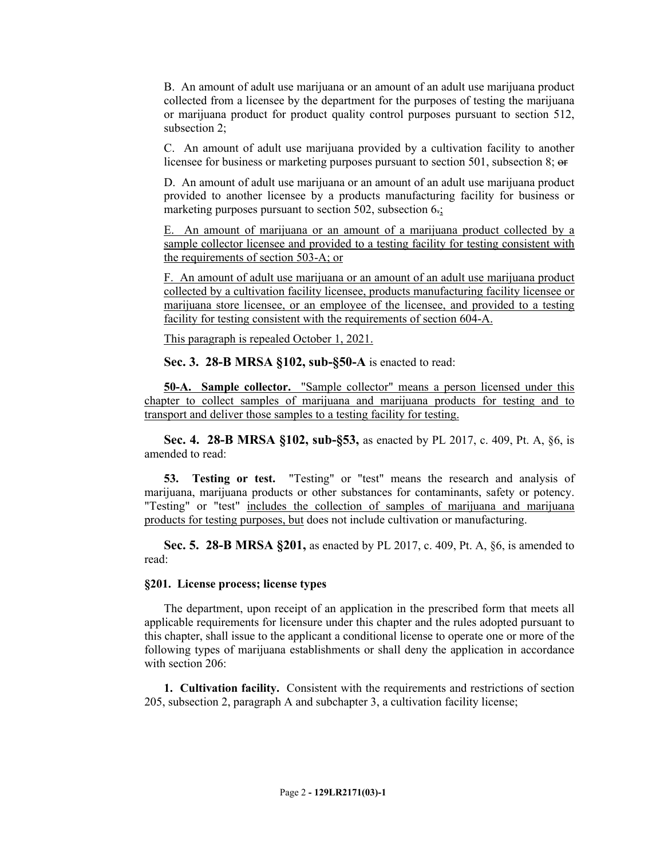B. An amount of adult use marijuana or an amount of an adult use marijuana product collected from a licensee by the department for the purposes of testing the marijuana or marijuana product for product quality control purposes pursuant to section 512, subsection 2;

C. An amount of adult use marijuana provided by a cultivation facility to another licensee for business or marketing purposes pursuant to section 501, subsection 8; or

D. An amount of adult use marijuana or an amount of an adult use marijuana product provided to another licensee by a products manufacturing facility for business or marketing purposes pursuant to section 502, subsection 6.;

E. An amount of marijuana or an amount of a marijuana product collected by a sample collector licensee and provided to a testing facility for testing consistent with the requirements of section 503-A; or

F. An amount of adult use marijuana or an amount of an adult use marijuana product collected by a cultivation facility licensee, products manufacturing facility licensee or marijuana store licensee, or an employee of the licensee, and provided to a testing facility for testing consistent with the requirements of section 604-A.

This paragraph is repealed October 1, 2021.

**Sec. 3. 28-B MRSA §102, sub-§50-A** is enacted to read:

**50-A. Sample collector.** "Sample collector" means a person licensed under this chapter to collect samples of marijuana and marijuana products for testing and to transport and deliver those samples to a testing facility for testing.

**Sec. 4. 28-B MRSA §102, sub-§53,** as enacted by PL 2017, c. 409, Pt. A, §6, is amended to read:

**53. Testing or test.** "Testing" or "test" means the research and analysis of marijuana, marijuana products or other substances for contaminants, safety or potency. "Testing" or "test" includes the collection of samples of marijuana and marijuana products for testing purposes, but does not include cultivation or manufacturing.

**Sec. 5. 28-B MRSA §201,** as enacted by PL 2017, c. 409, Pt. A, §6, is amended to read:

#### **§201. License process; license types**

The department, upon receipt of an application in the prescribed form that meets all applicable requirements for licensure under this chapter and the rules adopted pursuant to this chapter, shall issue to the applicant a conditional license to operate one or more of the following types of marijuana establishments or shall deny the application in accordance with section 206:

**1. Cultivation facility.** Consistent with the requirements and restrictions of section 205, subsection 2, paragraph A and subchapter 3, a cultivation facility license;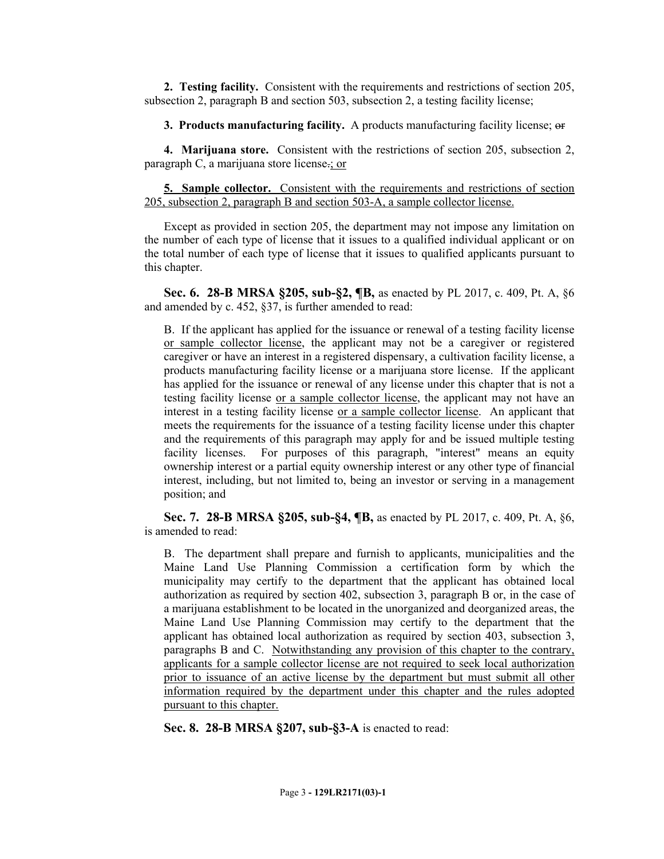**2. Testing facility.** Consistent with the requirements and restrictions of section 205, subsection 2, paragraph B and section 503, subsection 2, a testing facility license;

**3. Products manufacturing facility.** A products manufacturing facility license; or

**4. Marijuana store.** Consistent with the restrictions of section 205, subsection 2, paragraph C, a marijuana store license.; or

**5. Sample collector.** Consistent with the requirements and restrictions of section 205, subsection 2, paragraph B and section 503-A, a sample collector license.

Except as provided in section 205, the department may not impose any limitation on the number of each type of license that it issues to a qualified individual applicant or on the total number of each type of license that it issues to qualified applicants pursuant to this chapter.

**Sec. 6. 28-B MRSA §205, sub-§2, ¶B,** as enacted by PL 2017, c. 409, Pt. A, §6 and amended by c. 452, §37, is further amended to read:

B. If the applicant has applied for the issuance or renewal of a testing facility license or sample collector license, the applicant may not be a caregiver or registered caregiver or have an interest in a registered dispensary, a cultivation facility license, a products manufacturing facility license or a marijuana store license. If the applicant has applied for the issuance or renewal of any license under this chapter that is not a testing facility license or a sample collector license, the applicant may not have an interest in a testing facility license or a sample collector license. An applicant that meets the requirements for the issuance of a testing facility license under this chapter and the requirements of this paragraph may apply for and be issued multiple testing facility licenses. For purposes of this paragraph, "interest" means an equity ownership interest or a partial equity ownership interest or any other type of financial interest, including, but not limited to, being an investor or serving in a management position; and

**Sec. 7. 28-B MRSA §205, sub-§4, ¶B,** as enacted by PL 2017, c. 409, Pt. A, §6, is amended to read:

B. The department shall prepare and furnish to applicants, municipalities and the Maine Land Use Planning Commission a certification form by which the municipality may certify to the department that the applicant has obtained local authorization as required by section 402, subsection 3, paragraph B or, in the case of a marijuana establishment to be located in the unorganized and deorganized areas, the Maine Land Use Planning Commission may certify to the department that the applicant has obtained local authorization as required by section 403, subsection 3, paragraphs B and C. Notwithstanding any provision of this chapter to the contrary, applicants for a sample collector license are not required to seek local authorization prior to issuance of an active license by the department but must submit all other information required by the department under this chapter and the rules adopted pursuant to this chapter.

**Sec. 8. 28-B MRSA §207, sub-§3-A** is enacted to read: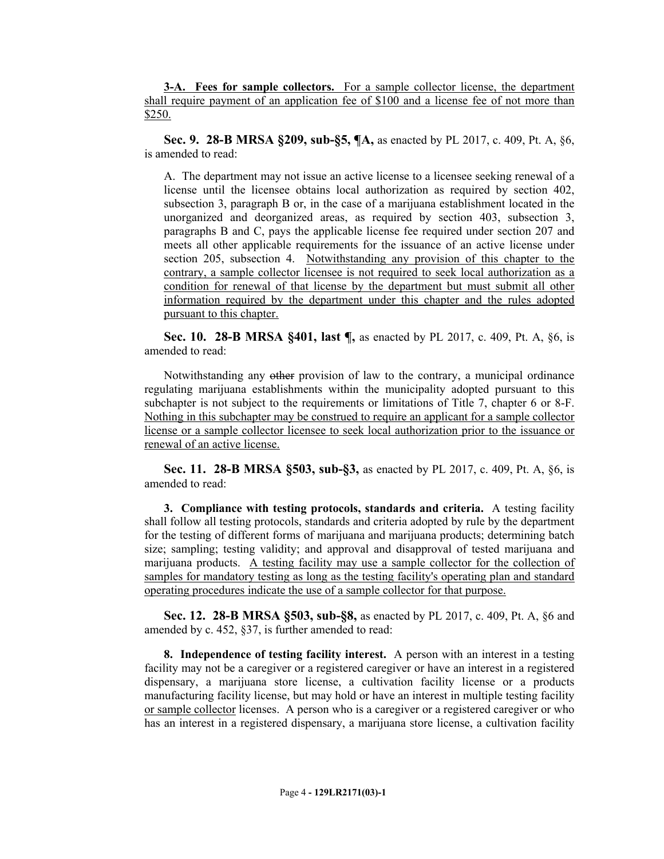**3-A. Fees for sample collectors.** For a sample collector license, the department shall require payment of an application fee of \$100 and a license fee of not more than \$250.

**Sec. 9. 28-B MRSA §209, sub-§5, ¶A,** as enacted by PL 2017, c. 409, Pt. A, §6, is amended to read:

A. The department may not issue an active license to a licensee seeking renewal of a license until the licensee obtains local authorization as required by section 402, subsection 3, paragraph B or, in the case of a marijuana establishment located in the unorganized and deorganized areas, as required by section 403, subsection 3, paragraphs B and C, pays the applicable license fee required under section 207 and meets all other applicable requirements for the issuance of an active license under section 205, subsection 4. Notwithstanding any provision of this chapter to the contrary, a sample collector licensee is not required to seek local authorization as a condition for renewal of that license by the department but must submit all other information required by the department under this chapter and the rules adopted pursuant to this chapter.

**Sec. 10. 28-B MRSA §401, last ¶,** as enacted by PL 2017, c. 409, Pt. A, §6, is amended to read:

Notwithstanding any other provision of law to the contrary, a municipal ordinance regulating marijuana establishments within the municipality adopted pursuant to this subchapter is not subject to the requirements or limitations of Title 7, chapter 6 or 8-F. Nothing in this subchapter may be construed to require an applicant for a sample collector license or a sample collector licensee to seek local authorization prior to the issuance or renewal of an active license.

**Sec. 11. 28-B MRSA §503, sub-§3,** as enacted by PL 2017, c. 409, Pt. A, §6, is amended to read:

**3. Compliance with testing protocols, standards and criteria.** A testing facility shall follow all testing protocols, standards and criteria adopted by rule by the department for the testing of different forms of marijuana and marijuana products; determining batch size; sampling; testing validity; and approval and disapproval of tested marijuana and marijuana products. A testing facility may use a sample collector for the collection of samples for mandatory testing as long as the testing facility's operating plan and standard operating procedures indicate the use of a sample collector for that purpose.

**Sec. 12. 28-B MRSA §503, sub-§8,** as enacted by PL 2017, c. 409, Pt. A, §6 and amended by c. 452, §37, is further amended to read:

**8. Independence of testing facility interest.** A person with an interest in a testing facility may not be a caregiver or a registered caregiver or have an interest in a registered dispensary, a marijuana store license, a cultivation facility license or a products manufacturing facility license, but may hold or have an interest in multiple testing facility or sample collector licenses. A person who is a caregiver or a registered caregiver or who has an interest in a registered dispensary, a marijuana store license, a cultivation facility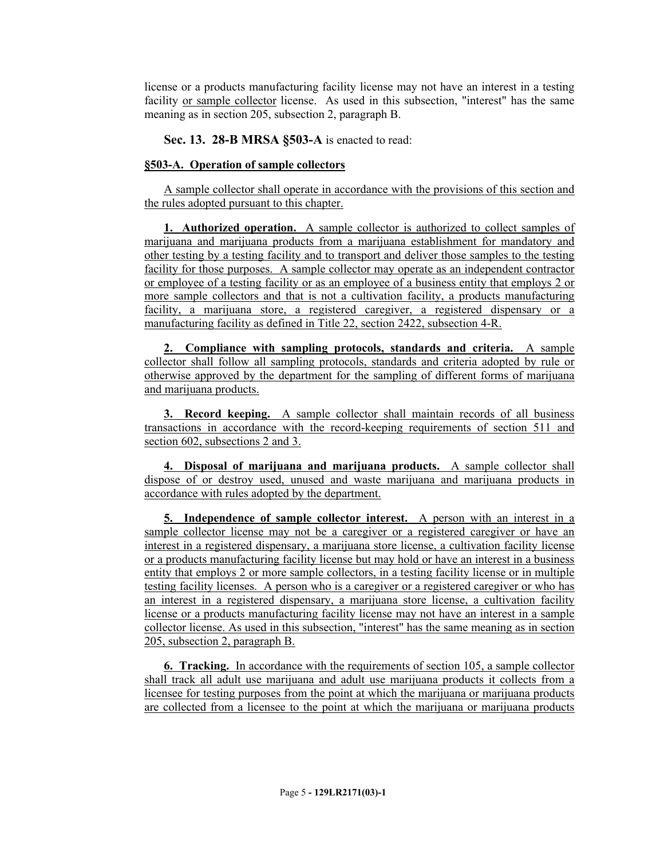license or a products manufacturing facility license may not have an interest in a testing facility or sample collector license. As used in this subsection, "interest" has the same meaning as in section 205, subsection 2, paragraph B.

**Sec. 13. 28-B MRSA §503-A** is enacted to read:

# **§503-A. Operation of sample collectors**

A sample collector shall operate in accordance with the provisions of this section and the rules adopted pursuant to this chapter.

**1. Authorized operation.** A sample collector is authorized to collect samples of marijuana and marijuana products from a marijuana establishment for mandatory and other testing by a testing facility and to transport and deliver those samples to the testing facility for those purposes. A sample collector may operate as an independent contractor or employee of a testing facility or as an employee of a business entity that employs 2 or more sample collectors and that is not a cultivation facility, a products manufacturing facility, a marijuana store, a registered caregiver, a registered dispensary or a manufacturing facility as defined in Title 22, section 2422, subsection 4-R.

**2. Compliance with sampling protocols, standards and criteria.** A sample collector shall follow all sampling protocols, standards and criteria adopted by rule or otherwise approved by the department for the sampling of different forms of marijuana and marijuana products.

**3. Record keeping.** A sample collector shall maintain records of all business transactions in accordance with the record-keeping requirements of section 511 and section 602, subsections 2 and 3.

**4. Disposal of marijuana and marijuana products.** A sample collector shall dispose of or destroy used, unused and waste marijuana and marijuana products in accordance with rules adopted by the department.

**5. Independence of sample collector interest.** A person with an interest in a sample collector license may not be a caregiver or a registered caregiver or have an interest in a registered dispensary, a marijuana store license, a cultivation facility license or a products manufacturing facility license but may hold or have an interest in a business entity that employs 2 or more sample collectors, in a testing facility license or in multiple testing facility licenses. A person who is a caregiver or a registered caregiver or who has an interest in a registered dispensary, a marijuana store license, a cultivation facility license or a products manufacturing facility license may not have an interest in a sample collector license. As used in this subsection, "interest" has the same meaning as in section 205, subsection 2, paragraph B.

**6. Tracking.** In accordance with the requirements of section 105, a sample collector shall track all adult use marijuana and adult use marijuana products it collects from a licensee for testing purposes from the point at which the marijuana or marijuana products are collected from a licensee to the point at which the marijuana or marijuana products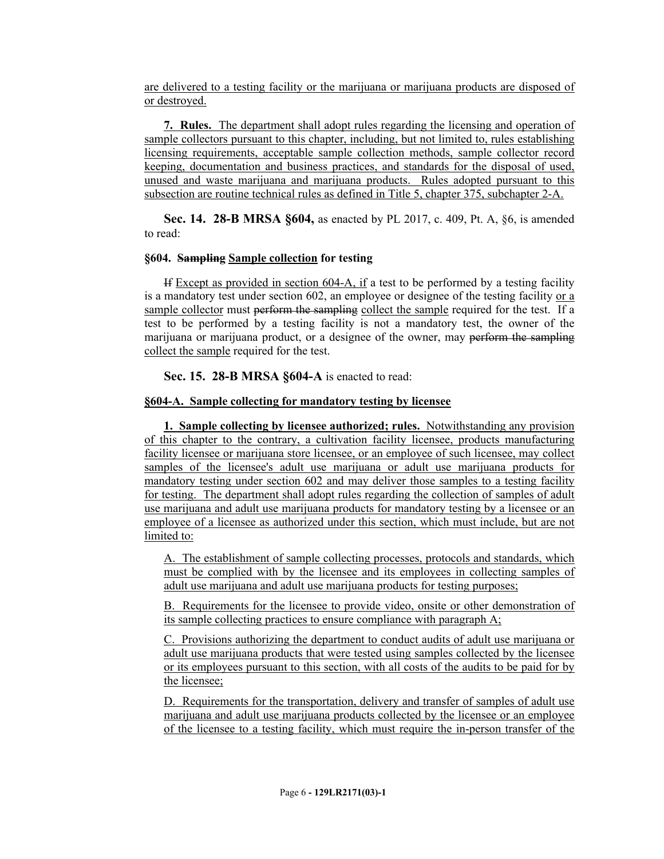are delivered to a testing facility or the marijuana or marijuana products are disposed of or destroyed.

**7. Rules.** The department shall adopt rules regarding the licensing and operation of sample collectors pursuant to this chapter, including, but not limited to, rules establishing licensing requirements, acceptable sample collection methods, sample collector record keeping, documentation and business practices, and standards for the disposal of used, unused and waste marijuana and marijuana products. Rules adopted pursuant to this subsection are routine technical rules as defined in Title 5, chapter 375, subchapter 2-A.

**Sec. 14. 28-B MRSA §604,** as enacted by PL 2017, c. 409, Pt. A, §6, is amended to read:

### **§604. Sampling Sample collection for testing**

If Except as provided in section 604-A, if a test to be performed by a testing facility is a mandatory test under section 602, an employee or designee of the testing facility or a sample collector must perform the sampling collect the sample required for the test. If a test to be performed by a testing facility is not a mandatory test, the owner of the marijuana or marijuana product, or a designee of the owner, may perform the sampling collect the sample required for the test.

**Sec. 15. 28-B MRSA §604-A** is enacted to read:

## **§604-A. Sample collecting for mandatory testing by licensee**

**1. Sample collecting by licensee authorized; rules.** Notwithstanding any provision of this chapter to the contrary, a cultivation facility licensee, products manufacturing facility licensee or marijuana store licensee, or an employee of such licensee, may collect samples of the licensee's adult use marijuana or adult use marijuana products for mandatory testing under section 602 and may deliver those samples to a testing facility for testing. The department shall adopt rules regarding the collection of samples of adult use marijuana and adult use marijuana products for mandatory testing by a licensee or an employee of a licensee as authorized under this section, which must include, but are not limited to:

A. The establishment of sample collecting processes, protocols and standards, which must be complied with by the licensee and its employees in collecting samples of adult use marijuana and adult use marijuana products for testing purposes;

B. Requirements for the licensee to provide video, onsite or other demonstration of its sample collecting practices to ensure compliance with paragraph A;

C. Provisions authorizing the department to conduct audits of adult use marijuana or adult use marijuana products that were tested using samples collected by the licensee or its employees pursuant to this section, with all costs of the audits to be paid for by the licensee;

D. Requirements for the transportation, delivery and transfer of samples of adult use marijuana and adult use marijuana products collected by the licensee or an employee of the licensee to a testing facility, which must require the in-person transfer of the